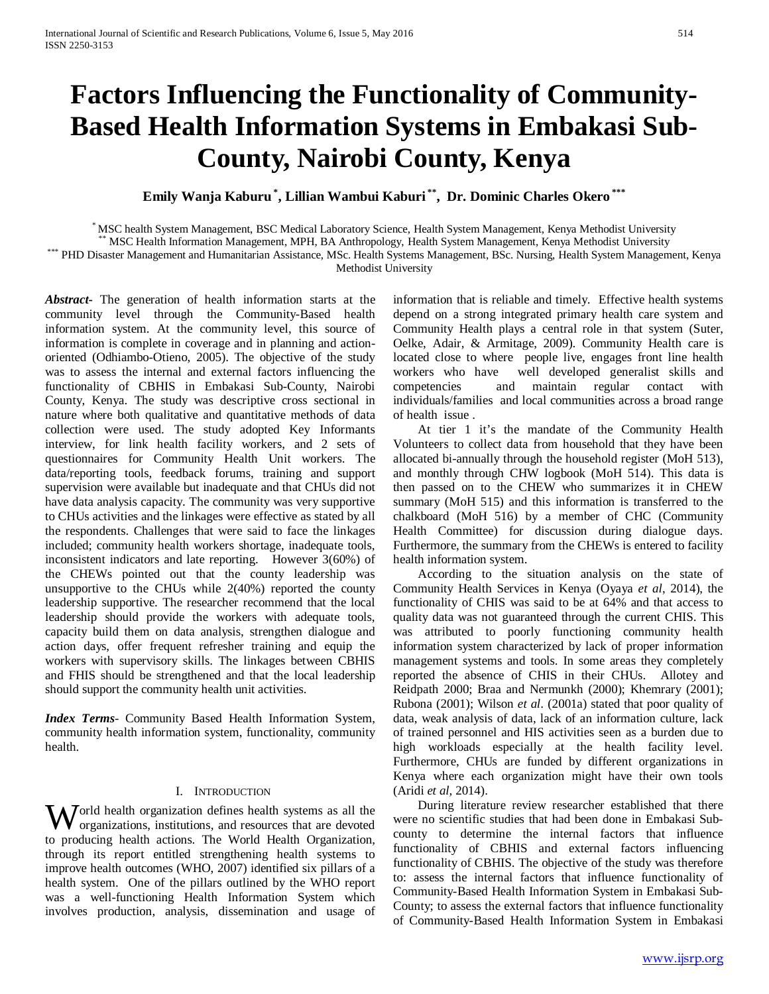# **Factors Influencing the Functionality of Community-Based Health Information Systems in Embakasi Sub-County, Nairobi County, Kenya**

**Emily Wanja Kaburu \* , Lillian Wambui Kaburi \*\*, Dr. Dominic Charles Okero \*\*\***

\* MSC health System Management, BSC Medical Laboratory Science, Health System Management, Kenya Methodist University<br>\*\* MSC Health Information Management, MPH, BA Anthropology, Health System Management, Kenya Methodist Uni Methodist University

*Abstract***-** The generation of health information starts at the community level through the Community-Based health information system. At the community level, this source of information is complete in coverage and in planning and actionoriented (Odhiambo-Otieno, 2005). The objective of the study was to assess the internal and external factors influencing the functionality of CBHIS in Embakasi Sub-County, Nairobi County, Kenya. The study was descriptive cross sectional in nature where both qualitative and quantitative methods of data collection were used. The study adopted Key Informants interview, for link health facility workers, and 2 sets of questionnaires for Community Health Unit workers. The data/reporting tools, feedback forums, training and support supervision were available but inadequate and that CHUs did not have data analysis capacity. The community was very supportive to CHUs activities and the linkages were effective as stated by all the respondents. Challenges that were said to face the linkages included; community health workers shortage, inadequate tools, inconsistent indicators and late reporting. However 3(60%) of the CHEWs pointed out that the county leadership was unsupportive to the CHUs while 2(40%) reported the county leadership supportive. The researcher recommend that the local leadership should provide the workers with adequate tools, capacity build them on data analysis, strengthen dialogue and action days, offer frequent refresher training and equip the workers with supervisory skills. The linkages between CBHIS and FHIS should be strengthened and that the local leadership should support the community health unit activities.

*Index Terms*- Community Based Health Information System, community health information system, functionality, community health.

# I. INTRODUCTION

**W** orld health organization defines health systems as all the organizations, institutions, and resources that are devoted organizations, institutions, and resources that are devoted to producing health actions. The World Health Organization, through its report entitled strengthening health systems to improve health outcomes (WHO, 2007) identified six pillars of a health system. One of the pillars outlined by the WHO report was a well-functioning Health Information System which involves production, analysis, dissemination and usage of

information that is reliable and timely. Effective health systems depend on a strong integrated primary health care system and Community Health plays a central role in that system (Suter, Oelke, Adair, & Armitage, 2009). Community Health care is located close to where people live, engages front line health workers who have well developed generalist skills and competencies and maintain regular contact with individuals/families and local communities across a broad range of health issue .

 At tier 1 it's the mandate of the Community Health Volunteers to collect data from household that they have been allocated bi-annually through the household register (MoH 513), and monthly through CHW logbook (MoH 514). This data is then passed on to the CHEW who summarizes it in CHEW summary (MoH 515) and this information is transferred to the chalkboard (MoH 516) by a member of CHC (Community Health Committee) for discussion during dialogue days. Furthermore, the summary from the CHEWs is entered to facility health information system.

 According to the situation analysis on the state of Community Health Services in Kenya (Oyaya *et al*, 2014), the functionality of CHIS was said to be at 64% and that access to quality data was not guaranteed through the current CHIS. This was attributed to poorly functioning community health information system characterized by lack of proper information management systems and tools. In some areas they completely reported the absence of CHIS in their CHUs. Allotey and Reidpath 2000; Braa and Nermunkh (2000); Khemrary (2001); Rubona (2001); Wilson *et al*. (2001a) stated that poor quality of data, weak analysis of data, lack of an information culture, lack of trained personnel and HIS activities seen as a burden due to high workloads especially at the health facility level. Furthermore, CHUs are funded by different organizations in Kenya where each organization might have their own tools (Aridi *et al,* 2014).

 During literature review researcher established that there were no scientific studies that had been done in Embakasi Subcounty to determine the internal factors that influence functionality of CBHIS and external factors influencing functionality of CBHIS. The objective of the study was therefore to: assess the internal factors that influence functionality of Community-Based Health Information System in Embakasi Sub-County; to assess the external factors that influence functionality of Community-Based Health Information System in Embakasi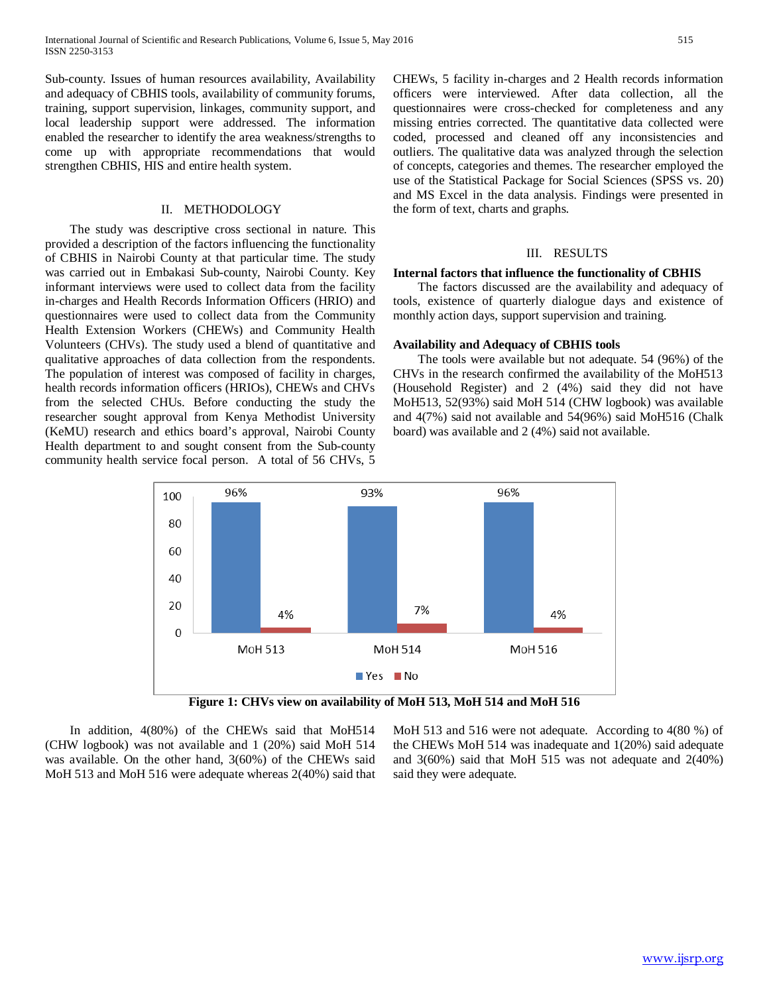Sub-county. Issues of human resources availability, Availability and adequacy of CBHIS tools, availability of community forums, training, support supervision, linkages, community support, and local leadership support were addressed. The information enabled the researcher to identify the area weakness/strengths to come up with appropriate recommendations that would strengthen CBHIS, HIS and entire health system.

#### II. METHODOLOGY

 The study was descriptive cross sectional in nature. This provided a description of the factors influencing the functionality of CBHIS in Nairobi County at that particular time. The study was carried out in Embakasi Sub-county, Nairobi County. Key informant interviews were used to collect data from the facility in-charges and Health Records Information Officers (HRIO) and questionnaires were used to collect data from the Community Health Extension Workers (CHEWs) and Community Health Volunteers (CHVs). The study used a blend of quantitative and qualitative approaches of data collection from the respondents. The population of interest was composed of facility in charges, health records information officers (HRIOs), CHEWs and CHVs from the selected CHUs. Before conducting the study the researcher sought approval from Kenya Methodist University (KeMU) research and ethics board's approval, Nairobi County Health department to and sought consent from the Sub-county community health service focal person. A total of 56 CHVs, 5 CHEWs, 5 facility in-charges and 2 Health records information officers were interviewed. After data collection, all the questionnaires were cross-checked for completeness and any missing entries corrected. The quantitative data collected were coded, processed and cleaned off any inconsistencies and outliers. The qualitative data was analyzed through the selection of concepts, categories and themes. The researcher employed the use of the Statistical Package for Social Sciences (SPSS vs. 20) and MS Excel in the data analysis. Findings were presented in the form of text, charts and graphs.

## III. RESULTS

#### **Internal factors that influence the functionality of CBHIS**

 The factors discussed are the availability and adequacy of tools, existence of quarterly dialogue days and existence of monthly action days, support supervision and training.

# **Availability and Adequacy of CBHIS tools**

 The tools were available but not adequate. 54 (96%) of the CHVs in the research confirmed the availability of the MoH513 (Household Register) and 2 (4%) said they did not have MoH513, 52(93%) said MoH 514 (CHW logbook) was available and 4(7%) said not available and 54(96%) said MoH516 (Chalk board) was available and 2 (4%) said not available.





 In addition, 4(80%) of the CHEWs said that MoH514 (CHW logbook) was not available and 1 (20%) said MoH 514 was available. On the other hand, 3(60%) of the CHEWs said MoH 513 and MoH 516 were adequate whereas 2(40%) said that MoH 513 and 516 were not adequate. According to 4(80 %) of the CHEWs MoH 514 was inadequate and 1(20%) said adequate and 3(60%) said that MoH 515 was not adequate and 2(40%) said they were adequate.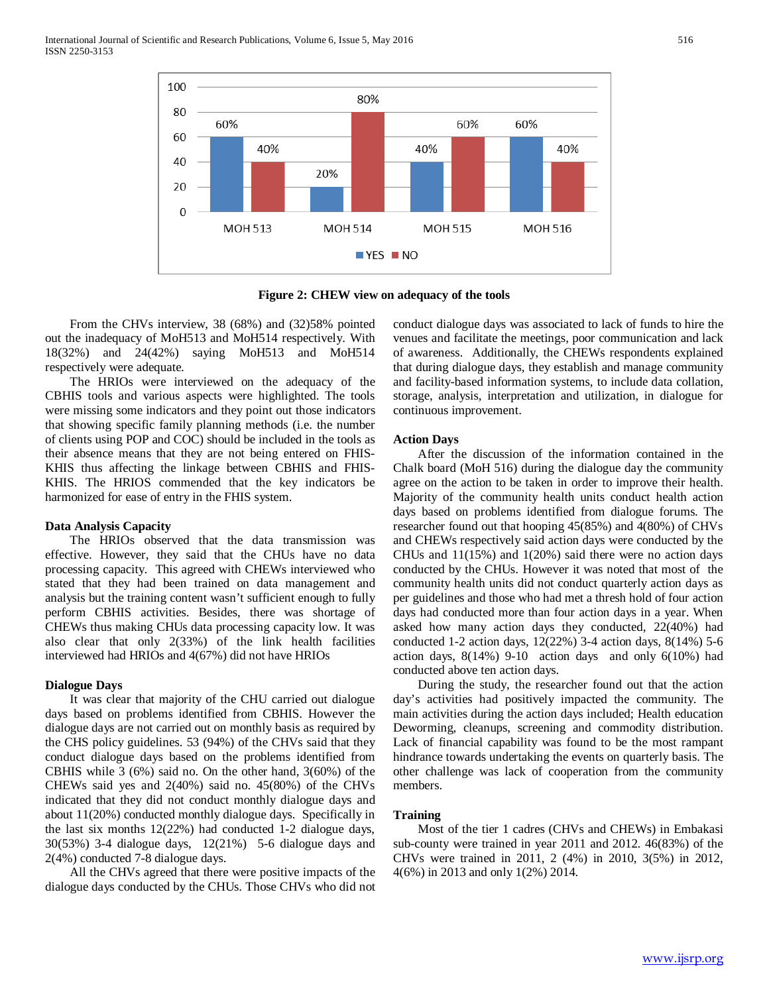

**Figure 2: CHEW view on adequacy of the tools**

 From the CHVs interview, 38 (68%) and (32)58% pointed out the inadequacy of MoH513 and MoH514 respectively. With 18(32%) and 24(42%) saying MoH513 and MoH514 respectively were adequate.

 The HRIOs were interviewed on the adequacy of the CBHIS tools and various aspects were highlighted. The tools were missing some indicators and they point out those indicators that showing specific family planning methods (i.e. the number of clients using POP and COC) should be included in the tools as their absence means that they are not being entered on FHIS-KHIS thus affecting the linkage between CBHIS and FHIS-KHIS. The HRIOS commended that the key indicators be harmonized for ease of entry in the FHIS system.

#### **Data Analysis Capacity**

 The HRIOs observed that the data transmission was effective. However, they said that the CHUs have no data processing capacity. This agreed with CHEWs interviewed who stated that they had been trained on data management and analysis but the training content wasn't sufficient enough to fully perform CBHIS activities. Besides, there was shortage of CHEWs thus making CHUs data processing capacity low. It was also clear that only 2(33%) of the link health facilities interviewed had HRIOs and 4(67%) did not have HRIOs

#### **Dialogue Days**

 It was clear that majority of the CHU carried out dialogue days based on problems identified from CBHIS. However the dialogue days are not carried out on monthly basis as required by the CHS policy guidelines. 53 (94%) of the CHVs said that they conduct dialogue days based on the problems identified from CBHIS while 3 (6%) said no. On the other hand, 3(60%) of the CHEWs said yes and 2(40%) said no. 45(80%) of the CHVs indicated that they did not conduct monthly dialogue days and about 11(20%) conducted monthly dialogue days. Specifically in the last six months 12(22%) had conducted 1-2 dialogue days, 30(53%) 3-4 dialogue days, 12(21%) 5-6 dialogue days and 2(4%) conducted 7-8 dialogue days.

 All the CHVs agreed that there were positive impacts of the dialogue days conducted by the CHUs. Those CHVs who did not

conduct dialogue days was associated to lack of funds to hire the venues and facilitate the meetings, poor communication and lack of awareness. Additionally, the CHEWs respondents explained that during dialogue days, they establish and manage community and facility-based information systems, to include data collation, storage, analysis, interpretation and utilization, in dialogue for continuous improvement.

#### **Action Days**

 After the discussion of the information contained in the Chalk board (MoH 516) during the dialogue day the community agree on the action to be taken in order to improve their health. Majority of the community health units conduct health action days based on problems identified from dialogue forums. The researcher found out that hooping 45(85%) and 4(80%) of CHVs and CHEWs respectively said action days were conducted by the CHUs and 11(15%) and 1(20%) said there were no action days conducted by the CHUs. However it was noted that most of the community health units did not conduct quarterly action days as per guidelines and those who had met a thresh hold of four action days had conducted more than four action days in a year. When asked how many action days they conducted, 22(40%) had conducted 1-2 action days, 12(22%) 3-4 action days, 8(14%) 5-6 action days, 8(14%) 9-10 action days and only 6(10%) had conducted above ten action days.

 During the study, the researcher found out that the action day's activities had positively impacted the community. The main activities during the action days included; Health education Deworming, cleanups, screening and commodity distribution. Lack of financial capability was found to be the most rampant hindrance towards undertaking the events on quarterly basis. The other challenge was lack of cooperation from the community members.

# **Training**

 Most of the tier 1 cadres (CHVs and CHEWs) in Embakasi sub-county were trained in year 2011 and 2012. 46(83%) of the CHVs were trained in 2011, 2 (4%) in 2010, 3(5%) in 2012, 4(6%) in 2013 and only 1(2%) 2014.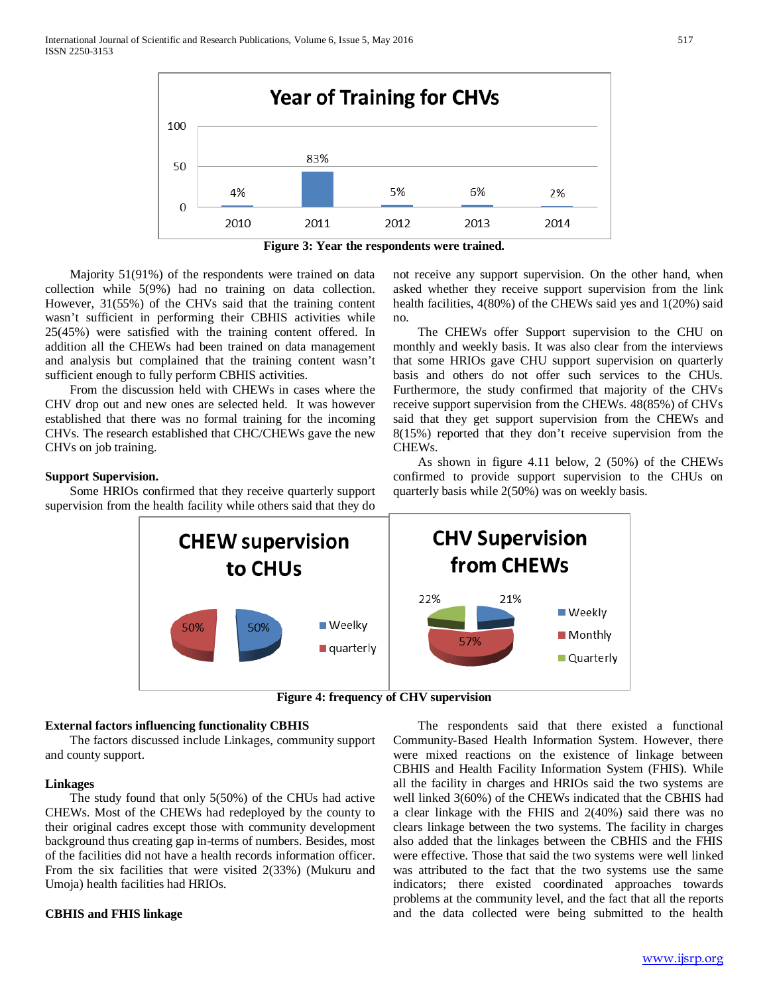

**Figure 3: Year the respondents were trained.**

 Majority 51(91%) of the respondents were trained on data collection while 5(9%) had no training on data collection. However, 31(55%) of the CHVs said that the training content wasn't sufficient in performing their CBHIS activities while 25(45%) were satisfied with the training content offered. In addition all the CHEWs had been trained on data management and analysis but complained that the training content wasn't sufficient enough to fully perform CBHIS activities.

 From the discussion held with CHEWs in cases where the CHV drop out and new ones are selected held. It was however established that there was no formal training for the incoming CHVs. The research established that CHC/CHEWs gave the new CHVs on job training.

# **Support Supervision.**

 Some HRIOs confirmed that they receive quarterly support supervision from the health facility while others said that they do

not receive any support supervision. On the other hand, when asked whether they receive support supervision from the link health facilities, 4(80%) of the CHEWs said yes and 1(20%) said no.

 The CHEWs offer Support supervision to the CHU on monthly and weekly basis. It was also clear from the interviews that some HRIOs gave CHU support supervision on quarterly basis and others do not offer such services to the CHUs. Furthermore, the study confirmed that majority of the CHVs receive support supervision from the CHEWs. 48(85%) of CHVs said that they get support supervision from the CHEWs and 8(15%) reported that they don't receive supervision from the CHEWs.

 As shown in figure 4.11 below, 2 (50%) of the CHEWs confirmed to provide support supervision to the CHUs on quarterly basis while 2(50%) was on weekly basis.



**Figure 4: frequency of CHV supervision**

## **External factors influencing functionality CBHIS**

 The factors discussed include Linkages, community support and county support.

#### **Linkages**

 The study found that only 5(50%) of the CHUs had active CHEWs. Most of the CHEWs had redeployed by the county to their original cadres except those with community development background thus creating gap in-terms of numbers. Besides, most of the facilities did not have a health records information officer. From the six facilities that were visited 2(33%) (Mukuru and Umoja) health facilities had HRIOs.

## **CBHIS and FHIS linkage**

 The respondents said that there existed a functional Community-Based Health Information System. However, there were mixed reactions on the existence of linkage between CBHIS and Health Facility Information System (FHIS). While all the facility in charges and HRIOs said the two systems are well linked 3(60%) of the CHEWs indicated that the CBHIS had a clear linkage with the FHIS and 2(40%) said there was no clears linkage between the two systems. The facility in charges also added that the linkages between the CBHIS and the FHIS were effective. Those that said the two systems were well linked was attributed to the fact that the two systems use the same indicators; there existed coordinated approaches towards problems at the community level, and the fact that all the reports and the data collected were being submitted to the health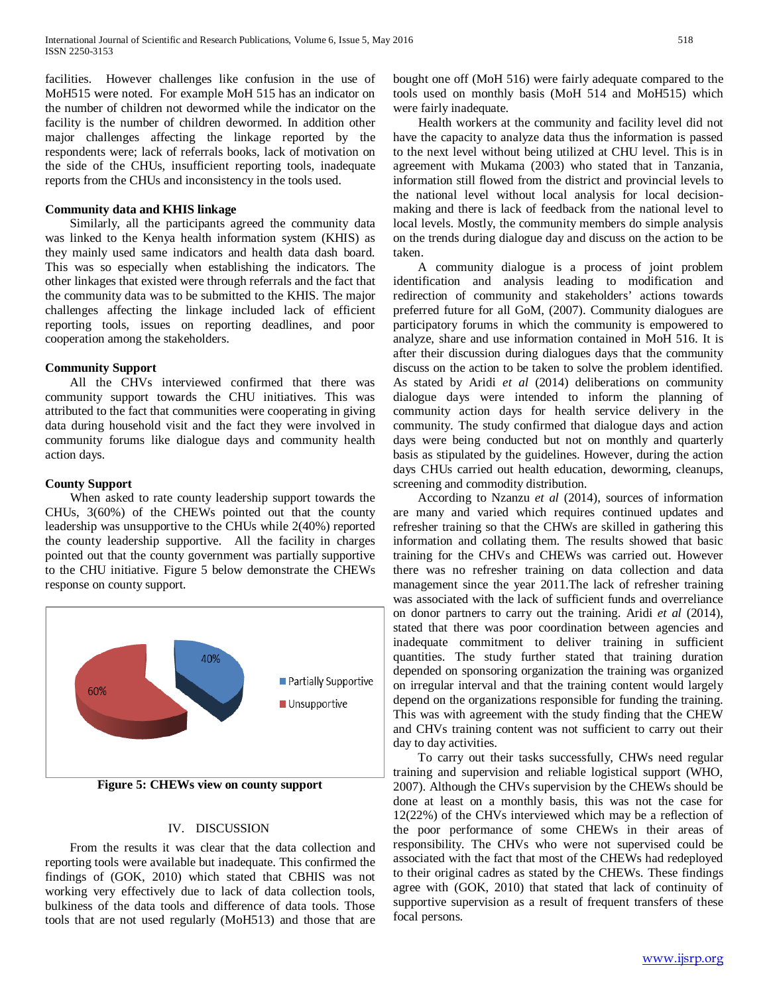facilities. However challenges like confusion in the use of MoH515 were noted. For example MoH 515 has an indicator on the number of children not dewormed while the indicator on the facility is the number of children dewormed. In addition other major challenges affecting the linkage reported by the respondents were; lack of referrals books, lack of motivation on the side of the CHUs, insufficient reporting tools, inadequate reports from the CHUs and inconsistency in the tools used.

# **Community data and KHIS linkage**

 Similarly, all the participants agreed the community data was linked to the Kenya health information system (KHIS) as they mainly used same indicators and health data dash board. This was so especially when establishing the indicators. The other linkages that existed were through referrals and the fact that the community data was to be submitted to the KHIS. The major challenges affecting the linkage included lack of efficient reporting tools, issues on reporting deadlines, and poor cooperation among the stakeholders.

# **Community Support**

 All the CHVs interviewed confirmed that there was community support towards the CHU initiatives. This was attributed to the fact that communities were cooperating in giving data during household visit and the fact they were involved in community forums like dialogue days and community health action days.

# **County Support**

 When asked to rate county leadership support towards the CHUs, 3(60%) of the CHEWs pointed out that the county leadership was unsupportive to the CHUs while 2(40%) reported the county leadership supportive. All the facility in charges pointed out that the county government was partially supportive to the CHU initiative. Figure 5 below demonstrate the CHEWs response on county support.



**Figure 5: CHEWs view on county support**

# IV. DISCUSSION

 From the results it was clear that the data collection and reporting tools were available but inadequate. This confirmed the findings of (GOK, 2010) which stated that CBHIS was not working very effectively due to lack of data collection tools, bulkiness of the data tools and difference of data tools. Those tools that are not used regularly (MoH513) and those that are bought one off (MoH 516) were fairly adequate compared to the tools used on monthly basis (MoH 514 and MoH515) which were fairly inadequate.

 Health workers at the community and facility level did not have the capacity to analyze data thus the information is passed to the next level without being utilized at CHU level. This is in agreement with Mukama (2003) who stated that in Tanzania, information still flowed from the district and provincial levels to the national level without local analysis for local decisionmaking and there is lack of feedback from the national level to local levels. Mostly, the community members do simple analysis on the trends during dialogue day and discuss on the action to be taken.

 A community dialogue is a process of joint problem identification and analysis leading to modification and redirection of community and stakeholders' actions towards preferred future for all GoM, (2007). Community dialogues are participatory forums in which the community is empowered to analyze, share and use information contained in MoH 516. It is after their discussion during dialogues days that the community discuss on the action to be taken to solve the problem identified. As stated by Aridi *et al* (2014) deliberations on community dialogue days were intended to inform the planning of community action days for health service delivery in the community. The study confirmed that dialogue days and action days were being conducted but not on monthly and quarterly basis as stipulated by the guidelines. However, during the action days CHUs carried out health education, deworming, cleanups, screening and commodity distribution.

 According to Nzanzu *et al* (2014), sources of information are many and varied which requires continued updates and refresher training so that the CHWs are skilled in gathering this information and collating them. The results showed that basic training for the CHVs and CHEWs was carried out. However there was no refresher training on data collection and data management since the year 2011.The lack of refresher training was associated with the lack of sufficient funds and overreliance on donor partners to carry out the training. Aridi *et al* (2014), stated that there was poor coordination between agencies and inadequate commitment to deliver training in sufficient quantities. The study further stated that training duration depended on sponsoring organization the training was organized on irregular interval and that the training content would largely depend on the organizations responsible for funding the training. This was with agreement with the study finding that the CHEW and CHVs training content was not sufficient to carry out their day to day activities.

 To carry out their tasks successfully, CHWs need regular training and supervision and reliable logistical support (WHO, 2007). Although the CHVs supervision by the CHEWs should be done at least on a monthly basis, this was not the case for 12(22%) of the CHVs interviewed which may be a reflection of the poor performance of some CHEWs in their areas of responsibility. The CHVs who were not supervised could be associated with the fact that most of the CHEWs had redeployed to their original cadres as stated by the CHEWs. These findings agree with (GOK, 2010) that stated that lack of continuity of supportive supervision as a result of frequent transfers of these focal persons.